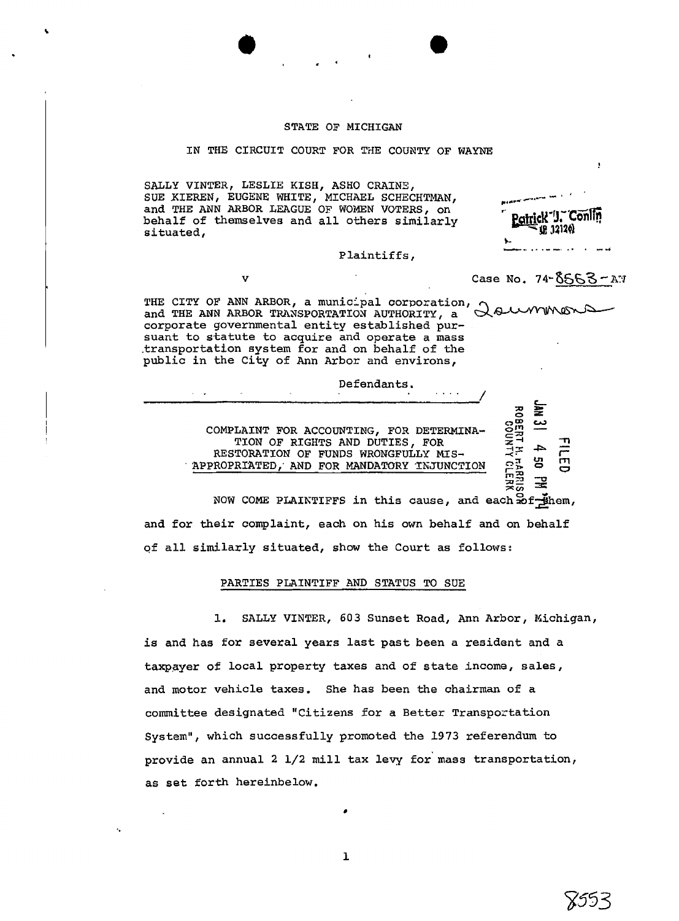### STATE OF MICHIGAN

#### IN THE CIRCUIT COURT FOR THE COUNTY OF WAYNE

SALLY VINTER, LESLIE KISH, ASH0 CRAINS, SALLY VINTER, LESLIE KISH, ASHO CRAINE,<br>SUE KIEREN, EUGENE WHITE, MICHAEL SCHECHTMAN, **C, Anders and A** and THE ANN ARBOR LEAGUE OF WOMEN VOTERS, on behalf of themselves and all others similarly **Pointick** 1. Conline studies. situated,

Plaintiffs,

v **Case No. 74-8553-AY** 

-.. .. .--, .. . **-4** 

+-

**w2 xv,** 

 $\mathbf{g}$ 

**I** 

THE CITY OF ANN ARBOR, a municipal corporation, a mand the ANN ARBOR TRANSPORTATION AUTHORITY, a subset of the mand of the service of the service of the service of the service of the service of the service of the service o corporate governmental entity established pursuant to statute to acquire and operate a mass .transportation system for and on behalf of the public in the City of Ann Arbor and environs,

Defendants. .... / **3J 5 <sup>0</sup>**-L

COMPLAINT FOR ACCOUNTING, FOR DETERMINA-TION OF RIGHTS AND DUTIES, FOR *%%*  RESTORATION OF FUNDS WRONGFULLY MIS-RPPROPRTATED,' AND FOR MANDATORY iWUNCTION **~5** <sup>2</sup>" **<sup>a</sup>**

NOW COME PLAINTIFFS in this cause, and each  $x^2 + y^2 = 0$ and for their complaint, each on his own behalf and on behalf of all similarly situated, show the Court as follows:

# PARTIES PLAINTIFF AND STATUS TO SUE

1. SALLY VINTER, 603 Sunset Road, Ann Arbor, Michigan, is and has for several years last past been a resident and a taxpayer of local property taxes and of state income, sales, and motor vehicle taxes. She has been the chairman of a committee designated "Citizens for a Better Transportation System", which successfully promoted **the** 1973 referendum to provide an annual 2  $1/2$  mill tax levy for mass transportation, as set forth hereinbelow.

 $\mathbf{I}$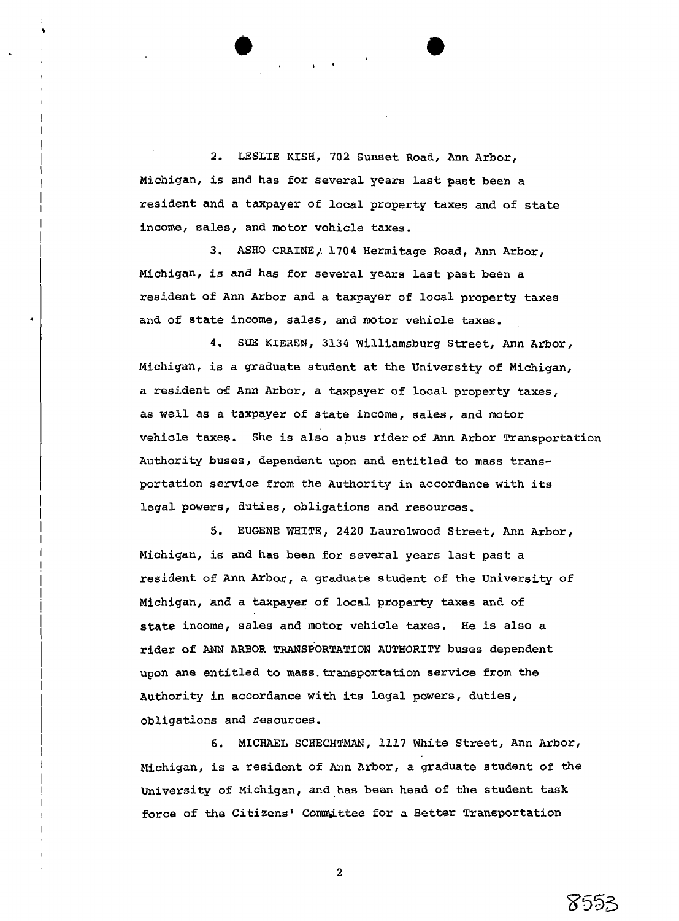2. **LESLIE** KISH, 702 Sunset Road, **Ann** Arbor, Michigan, is and has for several years last past been a resident and a taxpayer of local property taxes **and** of state income, sales, and motor vehicle taxes.

3. ASHO CRAINE, 1704 Hermitage Road, Ann Arbor, Michigan, is and has for several years last past been a resident of Ann Arbor and a taxpayer of local property taxes and of state income, sales, and motor vehicle taxes.

4. SUE KIEREN, 3134 Williamsburg Street, Ann Arbor, Michigan, is a graduate student at the University of Michigan, a resident of Ann Arbor, a taxpayer of local property taxes, as well as a taxpayer of state income, sales, and motor vehicle taxes. She is also a bus rider of Ann Arbor Transportation Authority buses, dependent upon and entitled to mass transportation service from the Authority in accordance with its legal powers, duties, obligations and resources.

**5.** EUGENE WHITE, 2420 Laurelwood Street, Ann Arbor, Michigan, is and has been for several yeaxs last past a resident of Ann Arbor, a graduate student of the University of Michigan, **and** a taxpayer of local property **taxes** and of state income, sales and motor vehicle taxes. He is also a **rider** of ANN ARBOR TRANSPORTATION AUTHORITY buses dependent upon ane entitled to mass.transportation service from the Authority in accordance with its legal powers, duties, obligations and resources.

6. MICHAEL SCHECHTMAN, **3.3.3.7** White Street, Ann Arbor, Michigan, is a resident of Ann Arbor, a graduate student of **the**  university of Michigan, and has been head of the student **task**  force of the Citizens' Committee for a Better Transportation

8553

 $\overline{2}$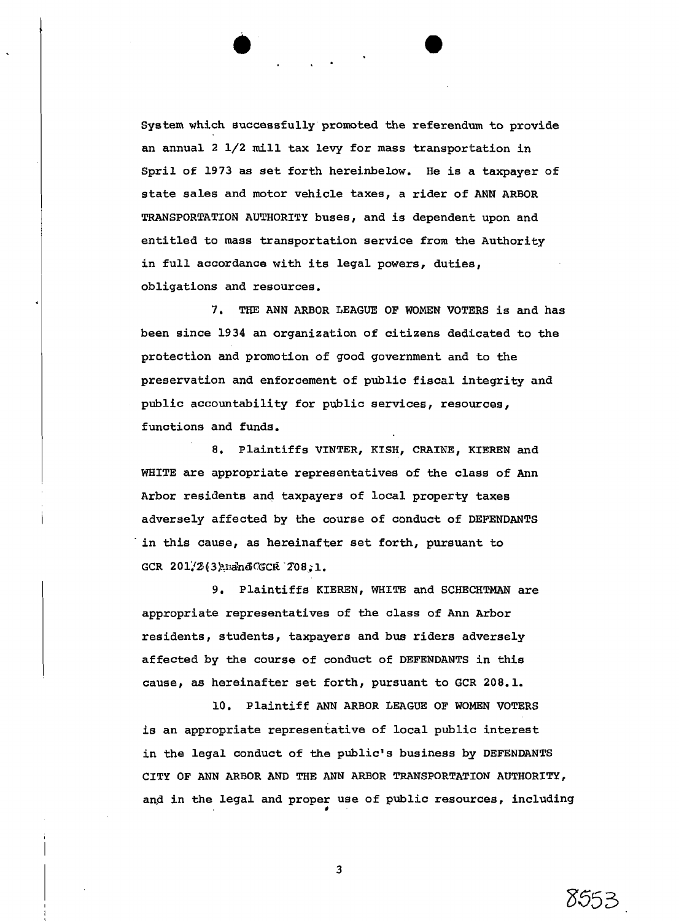System which successfully promoted the referendum to provide an annual 2 1/2 mill tax levy for mass transportation in Spril of 1973 as set forth hereinbelow. He is a taxpayer of state sales and motor vehicle taxes, a rider of ANN ARBOR TRANSPORTATION AUTHORITY buses, and is dependent upon and entitled to mass transportation service from the Authority in full accordance with its legal powers, duties, obligations and resources.

**7, THE** ANN ARBOR LEAGUE OF WOMEN VOTERS is and has been since 1934 an organization of citizens dedicated to the protection and promotion of good government and to the preservation and enforcement of public fiscal integrity and public accountability for public services, resources, functions and funds.

8, Plaintiffs VINTER, KISH, CRAINE, KIEREN and WHITE are appropriate representatives of the class of Ann Arbor residents and taxpayers of local property taxes adversely affected by the course of conduct of DEFENDANTS 'in this cause, as hereinafter set forth, pursuant to GCR 201/2(3) rand CGCR 208, 1.

9. Plaintiffs KIEREN, WHITE and SCHECHTMAN are appropriate representatives of the alass of Ann Arbor residents, students, taxpayers and bus riders adversely affected by the course of conduct of DEFENDANTS in this cause, as hereinafter set forth, pursuant to GCR 208.1.

10. Plaintiff ANN ARBOR LEAGUE OF WOMEN VOTERS is an appropriate representative of local public interest in the legal conduct of the public's business by DEFENDANTS CITY OF ANN ARBOR AND THE ANN ARBOR TRANSPORTATION AUTHORITY, and in the legal and proper use of public resources, including

8553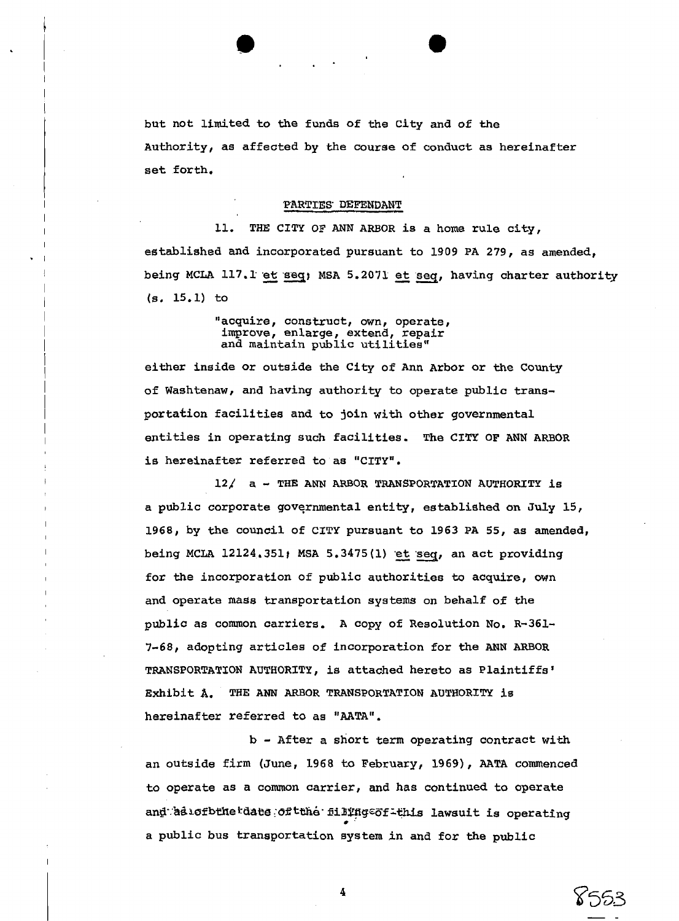but not limited to the funds of the City and of the Authority, as affected by the course of conduct as hereinafter set forth,

#### PARTIES DEFENDANT

11. THE CITY OF ANN ARBOR is a home rule city, established and incorporated pursuant to 1909 PA 279, as amended, being MCLA 117.1 et seq; MSA 5.2071 et seq, having charter authority **(s.** 15.1) to

> "acquire, construct, own, operate, improve, enlarge, extend, repair and maintain public utilities"

I

either inside or outside the City of Ann Arbor or the County of Washtenaw, and having authority to operate public transportation facilities and to join with other governmental I entities in operating such facilities. The CITY OF ANN **ARBOR**  is hereinafter referred to as "CITY".

I 12/ a - THE ANN ARBOR TRANSPORTATION AUTHORITY is a public corporate govgrnmental entity, established on July 15, 1968, by the council of CITY pursuant to 1963 PA 55, as amended, being MCLA 12124.351; MSA 5.3475(1) et seq, an act providing for the incorporation of public authorities to acquire, own and operate **mass** transportation systems on behalf of the public as common carriers. A copy of Resolution No. R-361- 7-68, adopting articles of incorporation for the **ANN** ARBOR TRANSPORTATION AUTHORITY, is attached hereto as Plaintiffs' Exhibit **A.** THE ANN **ARBOR** TRANSPORTATION AUTHORITY is hereinafter referred to as "AATA".

b - After a short term operating contract with an outside firm (June, 1968 to February, 1969), AATA commenced to operate as a common carrier, and has continued to operate and as a of bthe date of tthe filling of tthis lawsuit is operating a public bus transportation system in and fox the public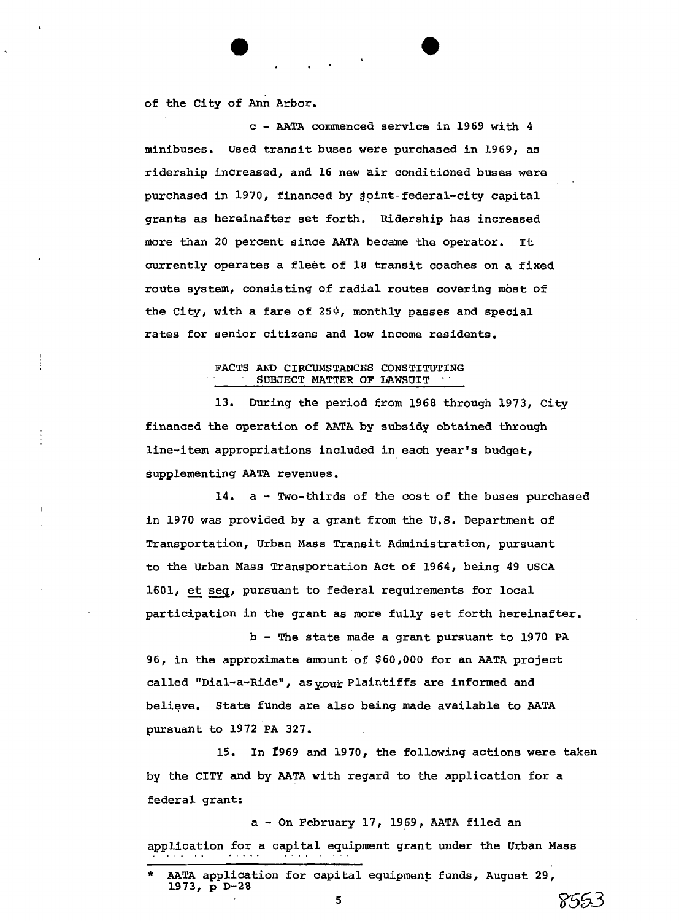of the City of Ann Arbor.

c - **AATA** commenced service in 1969 with 4 minibuses. Used transit buses were purchased in 1969, as ridership increased, and 16 new air conditioned buses were purchased in 1970, financed by joint-federal-city capital grants as hereinafter set forth. Ridership has increased more than 20 percent since AATA became the operator. **It:**  currently operates a fleet of 18 transit coaches on a fixed route system, consisting of radial routes covering most of the City, with a fare of  $25¢$ , monthly passes and special rates for senior citizens and low income residents.

# FACTS AND CIRCUMSTANCES CONSTITUTING<br>SUBJECT MATTER OF LAWSUIT

13. During the period from 1968 through 1973, City financed the operation of AATA by **subsidy** obtained through line-item appropriations included in each year's budget, gupplementing AATA revenues.

14. a - Two-thirds of the cost of the buses purchased in 1970 was provided by a grant from the **U.S.** Department of Transportation, Urban Mass Transit Administration, pursuant to the Urban Mass Transportation Act of 1964, being 49 USCA to the Urban Mass Transportation Act of 1964, being 49 US<br>1601, <u>et seq</u>, pursuant to federal requirements for local participation in the grant as more fully set forth hereinafter.

<sup>b</sup>- The state made a grant pursuant to 1970 PA 96, in the approximate amount of \$60,000 for an AATA project called "Dial-a-Ride", as your Plaintiffs are informed and believe. State funds are also being made available to AATA pursuant to 1972 PA 327.

15. In 1969 and 1970, the following actions were taken by the CITY and by AATA with regard to the application for a federal grant:

<sup>a</sup>- On February 17, 1969, AATA filed an application for a capital equipment grant under the Urban Mass

8553

AATA application for capital equipment funds, August 29, 1973, p D-28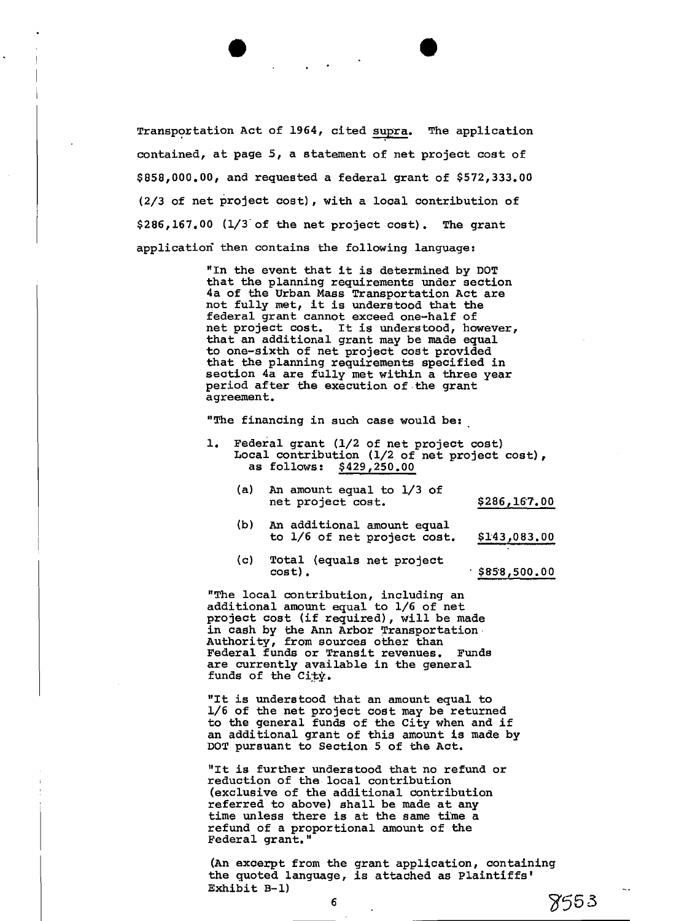Transpoxtation Act of 1964, cited supra. The application contained, at page 5, a statement of net project cost of \$858,000.00, and requeated a federal grant of \$572,333.00 (2/3 of net project cost) , with a local contribution of \$286,167.00 (1/3'of the net project cost). The grant applicatiori then contains the following language:

'In the event that it is determined by DOT that the planning requirements under section 4a of the Urban Mass Transportation Act are not fully met, it is understood that the federal grant cannot exceed one-half of net project cost. It is understood, however, that an additional grant may be made equal to one-sixth of net project cost provided that the planning requirements specified in seation 4a are fully met within a three year period after the execution of.the grant agreement.

"The financing in such case would be:

- 1. Federal grant (1/2 of net project cost) Local contribution  $(1/2)$  of net project cost), as follows: \$429,250.00
	- (a) An amount equal to 1/3 of net project cost. \$286,167.00

- (b) An additional amount equal to 1/6 of net project cost. \$143,083.00
- (c) Total (equals net project cost). . \$858,500.00

"The local contribution, including an additional amount equal to 1/6 of net project cost (if required), will be made in cash by the Ann Arbor Transportation Authority, from sources other than Federal funds or Transit revenues. Funds are currently available in the general funds of the  $City.$ 

"It is understood that an amount equal to l/6 of the net project cost may be returned to the general funds of the City when and if an additional grant of this amount is made by DOT pursuant to Section 5 of the Act.

"It is further understood that no refund or reduction of the local contribution (exclusive of the additional contribution referred to above) shall be made at any time unless there is at the same time a refund of a proportional amount of the Federal grant. "

(An excerpt from the grant application, containing the quoted language, is attached as plaintiffs'  $\frac{1}{2}$ Exhibit B-1)  $\frac{1}{2}$ 

**6** 7f5TJ *3*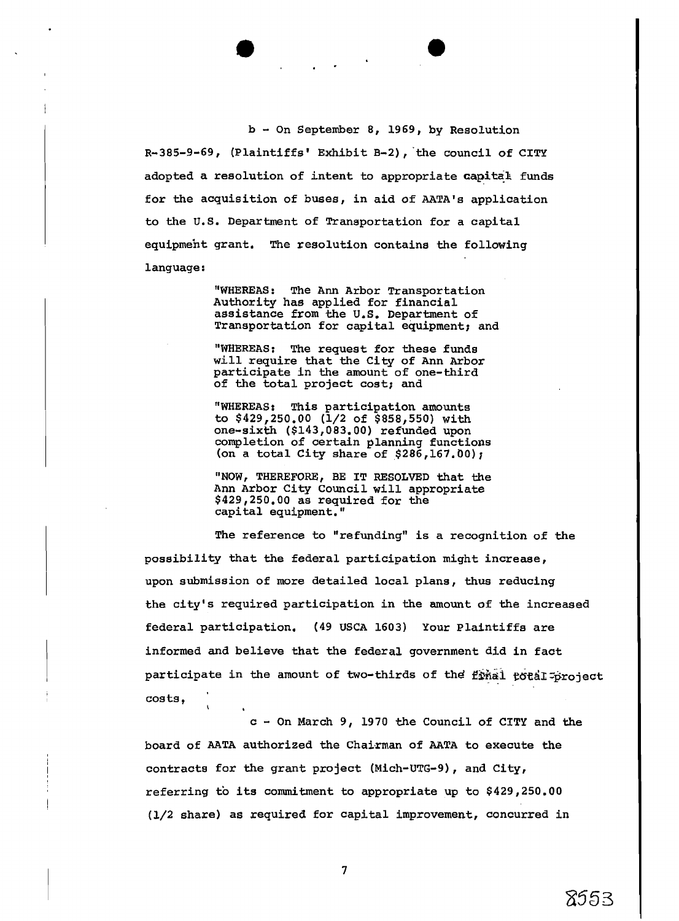b - On September 8, 1969, by Resolution

R-385-9-69, (Plaintiffs' Exhibit B-2), 'the council of CITY adopted a resolution of intent to appropriate **capital** funds for the acquisition of buses, in aid of AATA's application to the U.S. Department of Transportation for a capital equipment grant. The resolution contains the following language:

> "WHEREAS: The Ann Arbor Transportation Authority has applied for financial assistance from the U.S. Department of Transportation for capital equipment; and

"WHEREAS: The request for these funds will require that the City of Ann Arbor participate in the amount of one-third of the total project cost; and

"WHEREAS: This participation amounts to \$429,250.00 (1/2 of \$858,550) with one-sixth (\$143,083.00) refunded upon completion of certain planning functions (on a total City share of \$286,167.00);

"NOW, THEREFORE, BE IT RESOLVED that the Ann Arbor City Council will appropriate \$429,250.00 as required for the capital equipment."

The reference to "refunding" is a recognition of the possibility that **the** federal participation might increase, upon submission of more detailed local plans, thus reducing the city's required participation in the amount of the increased federal participation. (49 USCA 1603) Your Plaintiffs are informed and believe that the federal government did in fact participate in the amount of two-thirds of the final total project costs , \

<sup>c</sup>- On March 9, 1970 the Council of CITY and the board of AATA authorized the Chaixman of AATA to execute the contracts for the grant project (Mich-UTG-9), and City, referring to its commitment to appropriate up to \$429,250.00 (l/2 share) as required for capital improvement, concurred in

 $\overline{7}$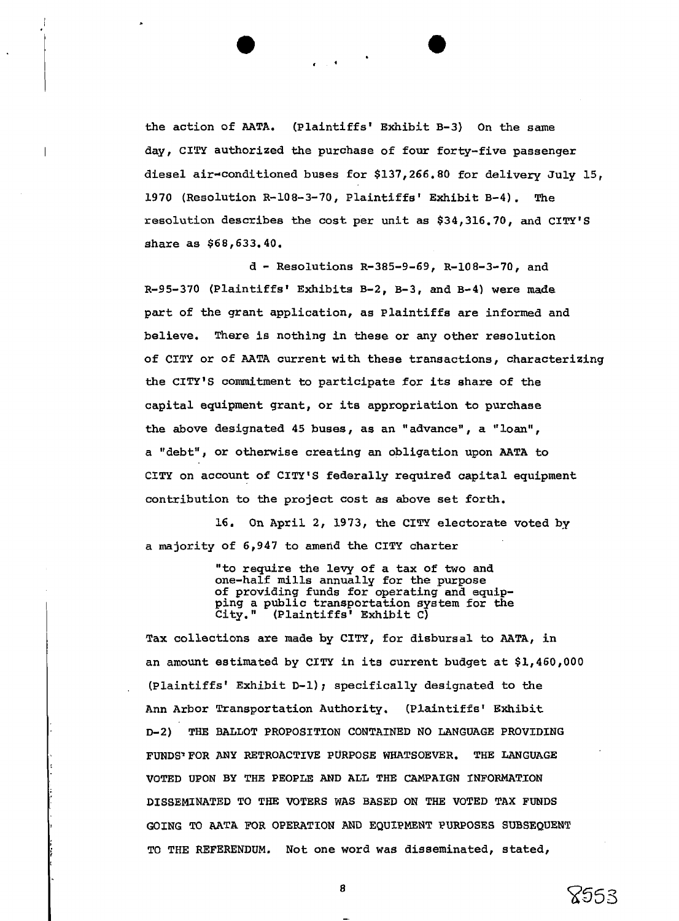the action of AATA. (plaintiffs' Exhibit B-3) On the same day, CIW authorized the purchase of four forty-five passenger diesel air-conditioned buses for \$137,266.80 for delivery July 15, 1970 (Resolution R-108-3-70, Plaintiffs' Exhibit B-4) . The resolution describes the cost per unit as \$34,316.70, and CITY'S share as \$68,633.40.

d - Resolutions R-385-9-69, R-108-3-70, and R-95-370 (Plaintiffs' Exhibits B-2, B-3, and B-4) were **made**  part of the grant application, as plaintiffs are informed and believe. There is nothing in these or any other resolution of CITY or of AATA current with these transactions, characterizing the CITY'S commitment to participate for its share of the capital equipment grant, or its appropriation to purchase the above designated 45 buses, as an "advance", a "loan", a "debt', or otherwise creating an obligation upon AATA to CITY on account of CITY'S federally required capital equipment contribution to the project cost as above set forth.

16. On April 2, 1973, **the** CITY electorate voted by a majority of 6,947 to amend the CITY charter

> "to require the levy of a tax of two and one-half mills annually for the purpose of providing funds for operating and equipping a public transportation system for the<br>City." (Plaintiffs' Exhibit C) City. 'I (Plaintif fs' Exhibit **C)**

Tax colLections are made by CITY, for disbursal to AATA, in an amount estimated by CITY in its current budget at \$1,460,000 , (Plaintiffs' Exhibit D-1); specifically designated to **the**  Ann Arbor Transportation Authority. (Plaintiffs' Exhibit D-2) THE BALLOT PROPOSITION CONTAINED NO LANGUAGE PROVIDING FUNDS-FOR ANY RETROACTIVE PURPOSE WHATSOEVER. THE LANGUAGE VOTED UPON BY THE PEOPLE AND ALL THE CAMPAIGN INFORMATION DISSEMINATED TO THE VOTERS WAS BASED ON THE VOTED TAX FUNDS GOING TO AATA FOR OPERATION AND EQUIPMENT PURPOSES SUBSEQUENT TO THE REFERENDUM. Not one word was disseminated, stated,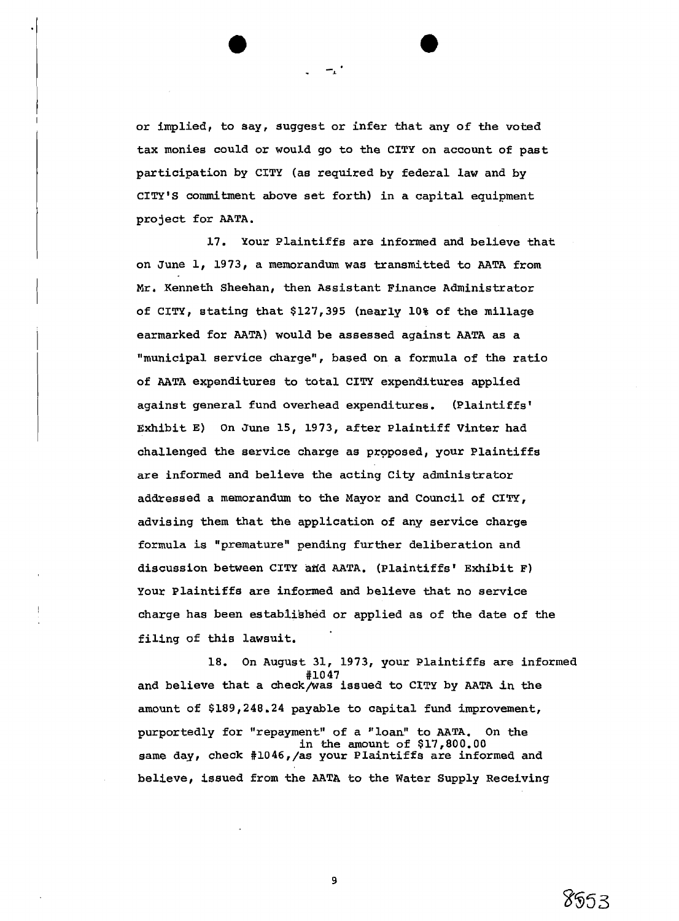or implied, to say, suggest or infer that any of the voted tax monies could or would go to the CITY on account of past participation by CITY (as required by federal law and by CITY'S commitment above set forth) in a capital equipment project for AATA.

17. Your Plaintiffs are informed and believe that on June 1, 1973, a memorandum was transmitted to AATA from Mr. Kenneth Sheehan, then Assistant Finance Administrator of CITY, stating that \$127,395 (nearly 10% of the millage earmarked for AATA) would be assessed against AATA as a "municipal service charge", based on a formula of **the** ratio of AATA expenditures to total CITY expenditures applied against general fund overhead expenditures. (Plaintiffs' Exhibit E) On June 15, 1973, after plaintiff Vinter had challenged the service charge as proposed, your Plaintiffs are informed and believe the acting City administrator addressed a memorandum to the Mayor and Council of CITY, advising them that **the** application of any service charge formula is "premature" pending further deliberation and discussion between CITY aidd AATA. (Plaintiffs' Exhibit **F)**  Your Plaintiffs are informed and believe that no service charge has been establibhed or applied as of the date of the filing of this lawsuit.

18. On August 31, 1973, your Plaintiffs are informed #10 47 and believe that a check/was issued to CITY by AATA in the amount of \$189,248.24 payable to capital fund improvement, purportedly for "repayment" of a ''loan" to AATA. On the in the amount of \$17,800.00 same day, check #1046,/as your Plaintiffs are informed and believe, issued from the AATA to the Water Supply Receiving

8553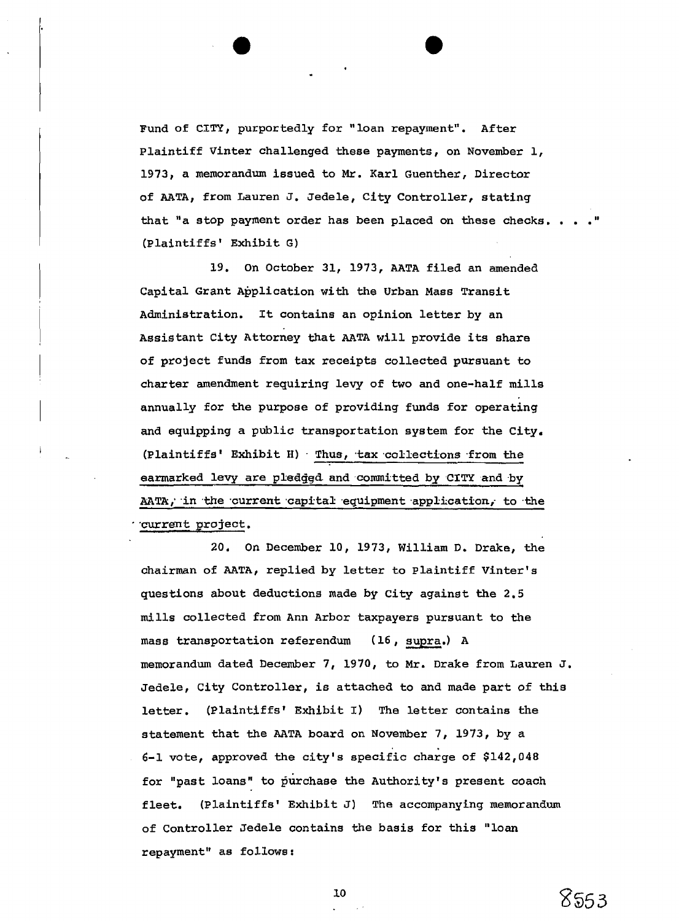Fund of CITY, purportedly for "loan repayment". After plaintiff Vinter challenged these payments, on November 1, 1973, a memorandum issued to Mr. Karl Guenther, Director of AATA, from Lauren J. Jedele, City Controller, stating that "a stop payment order has been placed on these checks. . . (Plaintiffs1 Exhibit G)

19. On October 31, 1973, AATA filed an amended Capital Grant Application with the Urban Mass Transit Administration. It contains an opinion letter by an Assistant City Attorney that AATA will provide its share of project funds from tax receipts collected pursuant to charter amendment requiring levy of two and one-half mills annually for the purpose of providing funds for operating and equipping a public transportation system for the City. (Plaintiffs' Exhibit H) . Thus, tax collections from the earmarked levy are pledggd and committed by **CITY** andby AATA; in the current capital equipment application, to the -current project .

20. On December 10, 1973, William D. Drake, the chairman of AATA, replied by letter to Plaintiff Vinter's questions about deductions made by City against the 2.5 mills collected from Ann Arbor taxpayers pursuant to the mass transportation referendum (16, supra.) A memorandum dated December 7, 1970, to Mr. Drake from Lauren J. Jedele, City Controller, is attached to and made part of this letter. (Plaintiffs' Exhibit I) The letter contains the statement that the AATA board on November 7, 1973, by a 6-1 vote, approved the city's specific charge of  $$142,048$ for "past loans" to purchase the Authority's present coach fleet. (Plaintiffs' Exhibit J) The accompanying memorandum of Controller Jedele contains the basis for this "loan repayment" **as** follows :

8553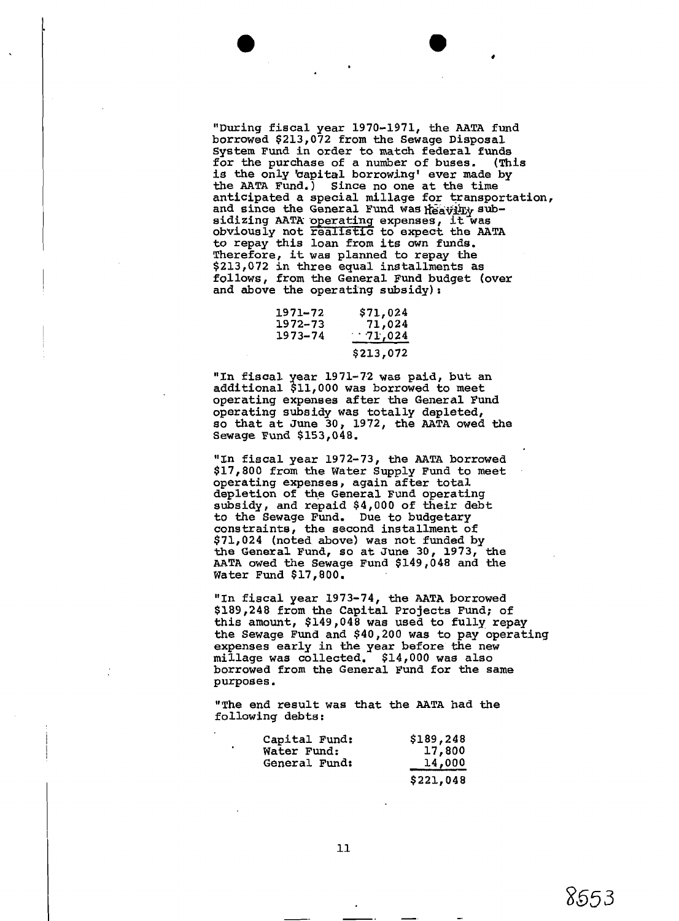"During fiscal year 1970-1971, the **AATA** fund borrowed \$213,072 from the Sewage Disposal System Fund in order to **match** federal funds for the purchase of a number of buses. is the only 'capital borrowing' ever made by the **AATA** Fund.) Since no one at the time anticipated a special millage for transportation, and since the General Fund was heavily suband since the General Fund was heavily sub-<br>sidizing AATA operating expenses, it was<br>obviously not realistic to expect the AATA to repay this loan from its own funds. Therefore, it was planned to repay the \$213,072 in three equal installments as follows, from the General Fund budget (over and above the operating subsidy):

| 1971–72 | <b>\$71,024</b> |
|---------|-----------------|
| 1972–73 | 71,024          |
| 1973–74 | 71,024          |
|         | \$213,072       |

"In fiscal year 1971-72 was paid, but an additional \$11,000 was borrowed to meet operating expenees after the General Fund operating subsidy was totally depleted, so that at June 30, 1972, the **AATA** owed the Sewage Fund \$153,048.

"In fiscal year 1972-73, the **AATA** borrowed \$17,800 from the Water Supply Fund to meet operating expenses, again after total depletion of the General Fund operating subsidy, and repaid \$4,000 of their debt to the Sewage Fund. Due to budgetary constrainte, the second installment of \$71,024 (noted above) was not funded by the General Fund, so at June 30, 1973, AATA owed the Sewage Fund \$149,048 and the Water Fund \$17,800.

"In fiscal year 1973-74, the AATA borrowed \$189,248 from the Capital Projects Fund; of this amount, \$149,048 was used to fully repay the Sewage Fund and \$40,200 was to pay operating expenses early in the year before the new millage was  $\overline{\text{collected}}$ , \$14,000 was also borrowed from the General Fund for the same purposes.

"The end result was that the **AATA** had the following debts :

| Capital Fund: | \$189,248            |
|---------------|----------------------|
| Water Fund:   | 17,800               |
| General Fund: | $\frac{14,000}{\pi}$ |
|               | \$221,048            |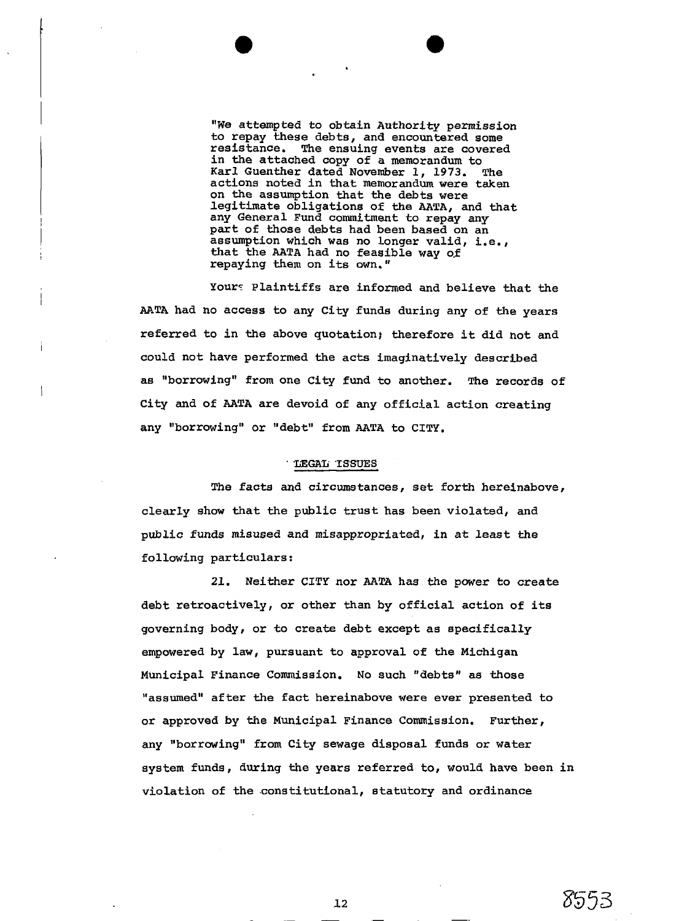**"We** attempted to obtain Authority permission to repay these debts, and encountered some<br>resistance. The ensuing events are covered The ensuing events are covered in the attached copy of a memorandum to Karl Guenther dated November 1, 1973. The actions noted in that memorandum were taken on the assumption that the debts were legitimate obligations of the AATA, and that any General Fund commitment to repay any part of those debts had been based on an assumption which was no longer valid, i.e., that the AATA had no feasible way of repaying them on its own."

Your: Plaintiffs are informed and believe that the AATA had no access to any City funds during any of the years referred to in the above quotation; therefore it did not and could not have performed the acts imaginatively described as "borrowing" from one City fund to another. The records of City and of AATA are devoid of any official action creating any "borrowing" or "debt" from AATA to CITY.

## LEGAL ISSUES

The facts and circumstances, set forth hereinabove, clearly show that the public trust has been violated, and public funds misused and misappropriated, in at least the following particulars:

21. Neither CITY nor AATA has the power to create debt retroactively, or other than by official action of its governing body, or to create debt except as specifically empowered by law, pursuant to approval of the Michigan Municipal Finance Commission. No such "debts" as those "assumed" after the fact hereinabove were ever presented to or approved by the Municipal Finance Commission. Further, any "borrowing" from City sewage disposal funds or water system funds, during the years referred to, would have been in violation of the .constitutional, statutory and ordinance

8553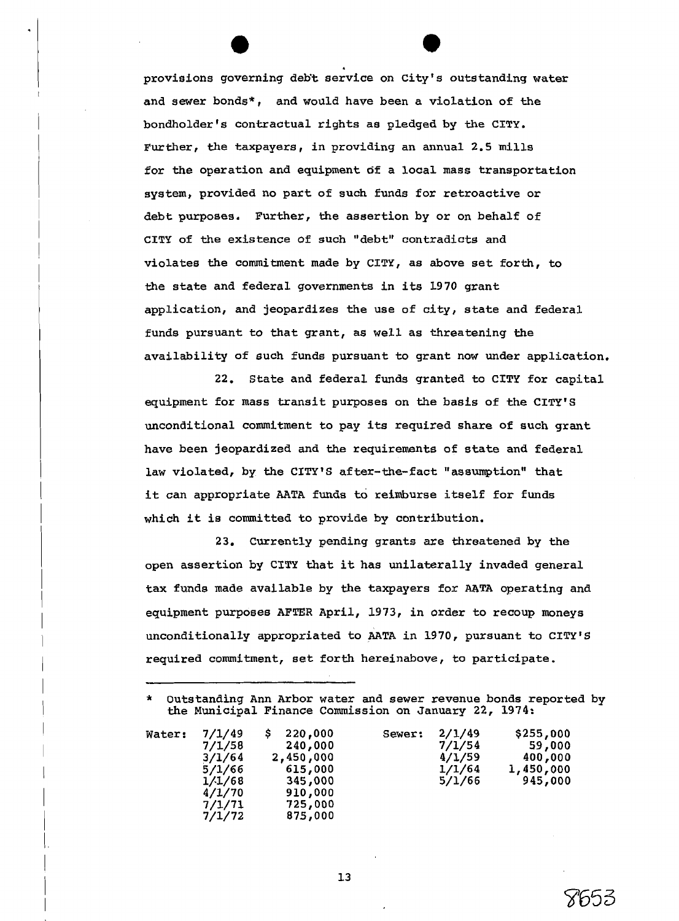provisions governing deb't service on City's outstanding water and sewer bonds\*, and would have been a violation of the bondholder's contractual rights as pledged by **the** CITY. Further, the taxpayers, in providing an annual 2.5 mills for the operation and equipment of a local mass transportation system, provided no part of such funds for retroactive or debt purposes. Further, the assertion by or on behalf of CITY of the existence of such "debt" contradicts and violates the commitment made by CITY, as above set forth, to the state and federal governments in its 1970 grant application, and jeopardizes the use of city, state and federal funds pursuant to that grant, as well as threatening the availability of such funds pursuant to grant now under application.

22. State and federal funds granted to CITY for capital equipment for mass transit purposes on the basis of **the** CITY'S unconditional commitment to pay its required share of such grant have been jeopardized and the requirements of state and federal law violated, by the CITY'S after-the-fact "assumption" that it can appropriate AATA funds to reimburse itself for funds which it ie committed to provide by contribution.

23. Currently pending grants are threatened by the open assertion by **CITY** that it has unilaterally invaded general tax funds made available by the taxpayers for AATA operating and equipment purposes AFTER April, 1973, in order to recoup moneys unconditionally appropriated to AATA in 1970, pursuant to CITY'S required commitment, set forth hereinabove, to participate.

Outstanding Ann Arbor water and sewer revenue bonds reported by the Municipal Finance Commission on January 22, 1974:

| Water: | 7/1/49<br>7/1/58<br>3/1/64<br>5/1/66<br>1/1/68<br>4/1/70<br>7/1/71<br>7/1/72 | 220,000<br>240,000<br>2,450,000<br>615,000<br>345,000<br>910,000<br>725,000<br>875,000 | Sewer: | 2/1/49<br>7/1/54<br>4/1/59<br>1/1/64<br>5/1/66 | \$255,000<br>59,000<br>400,000<br>1,450,000<br>945,000 |
|--------|------------------------------------------------------------------------------|----------------------------------------------------------------------------------------|--------|------------------------------------------------|--------------------------------------------------------|
|--------|------------------------------------------------------------------------------|----------------------------------------------------------------------------------------|--------|------------------------------------------------|--------------------------------------------------------|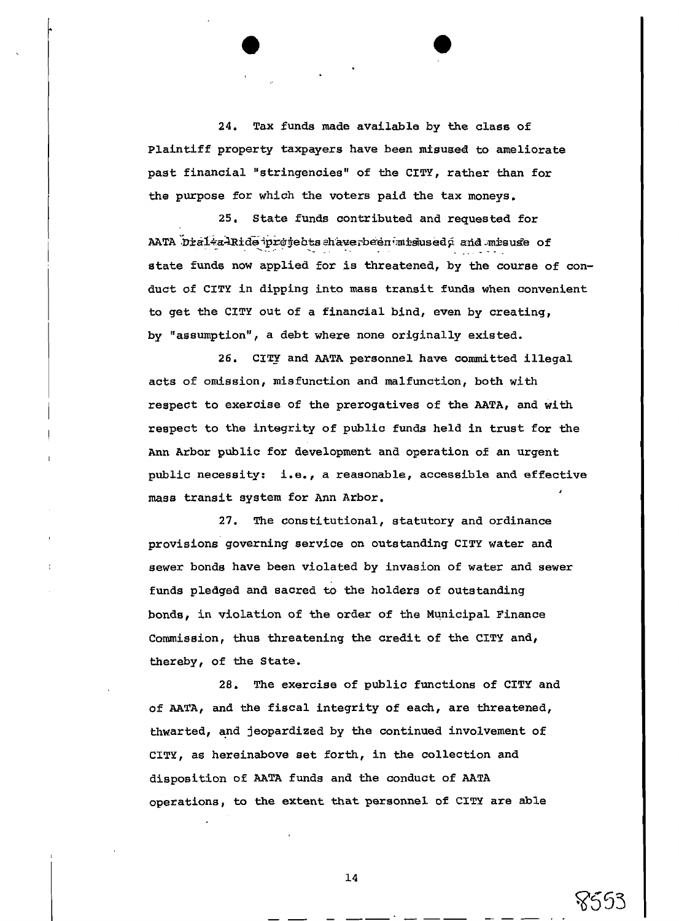**24,** Tax funds made available by **the** class of Plaintiff property taxpayers have been misused to ameliorate past financial "stringencies" of the CITY, rather than for the purpose for which the voters paid the tax moneys.

25. State funds contributed and requested for AATA Draita-Ride projects shaverbeen misused and misuse of state funds now applied for is threatened, by the course of conduct of CITY in dipping into mass transit funds when convenient to get the CITY out of a financial bind, even by creating, by "assumption", a debt where none originally existed.

26. CITY and AATA personnel have committed illegal acts of omission, misfunction and malfunction, both with respect to exercise of the prerogatives of the AATA, and with respect to the integrity of public funds held in trust for the Ann Arbor public for development and operation of an urgent public necessity: i.e., a reasonable, accessible **and** effective mass transit system for Ann Arbor. **<sup>I</sup>**

27. The constitutional, statutory and ordinance provisions governing service on outstanding CITY water and sewer bonds have been violated by invasion of water and sewer funds pledged and sacred to the holders of outstanding bonds, in violation of the order of **the** Municipal Finance Commission, thus threatening the credit of the **CITY** and, thereby, of **the** State.

28. The exercise of public functions of CITY and of AATA, and the fiscal integrity of each, are threatened, thwarted, and jeopardized by the continued involvement of CITY, as hereinabove set forth, in the collection and disposition of AATA funds and the conduct of AATA operations, to the extent that personnel of **CITY** are able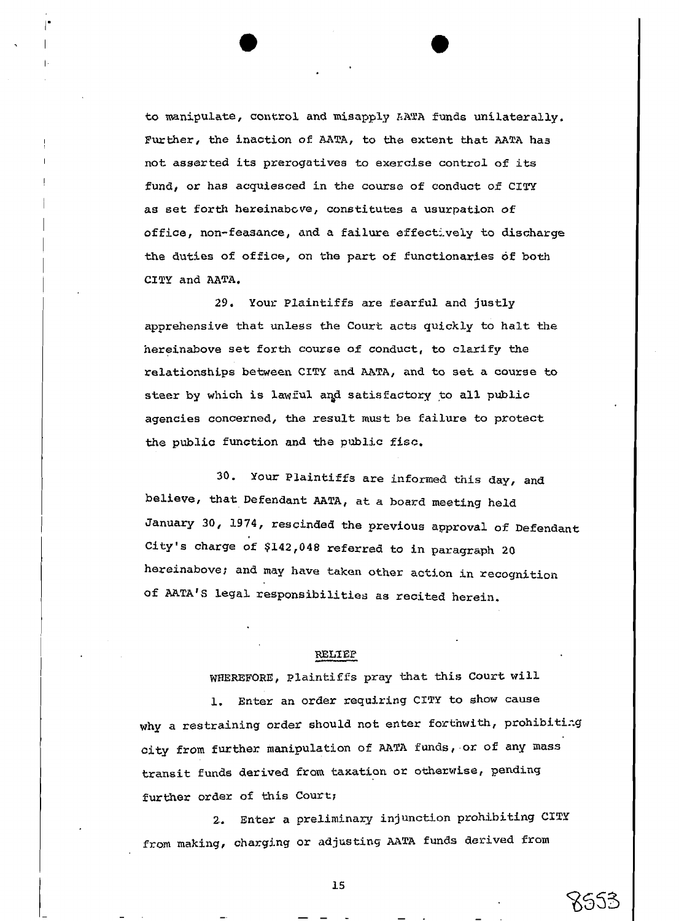to manipulate, **control** and **misapply** *I:I\Z'A* **funds** unilaterally. **Further, the** inaction of MTA, to **the** extent **that AATA has**  not assorted its prerogatives to **exercise** control of its fund, or has acquiesced in the course of conduct of **CITY**  as set forth hereinabcve, constitutes a usurpation of office, non-feasance, **and** a failure offoctivoiy to **discharge the duties** of office, on **tho** part of functionaries **df both**  CITY and AATA.

29, Your Plaintiffs axe **fearful** and **justly**  apprehensive that unless the Court acts quickly to halt the hereinabove set forth course of conduct, to clarify the relationships **between** CITY and **LITA, and** to **set** a course **to**  steer by which is lawful and satisfactory to all public **agencies** concerned, **the** result must be failure to protect the **public** function **and the prh1i.c fisc.** 

**30. Your** Plaintiffs are inforrfled **this** day, and believe, that Defendant **AATA, at** a board meting held January 30, 1974, **rescinded** the previous approval of Defendant **City's** charge of \$142,048 referred to in paragraph 20 hereinabove; and **may have taken** other action in recoynitiorr of UTAIS **Legal** responsibilities **as** recited herein.

**WELTEP**<br>WHEREFORE, Plaintiffs pray that this Court will

1. Enter an order requiring *CITY* to show **cause**  why a restraining order should not enter forthwith, prohibiting city **from further** manipulation of **AATA** funds, or of any **nass**  transit funds derived from taxation or otherwise, pending further order of this Court;

2. Enter a preliminary injunction prohibiting CITY from making, charging or adjusting AATA funds derived from

8953